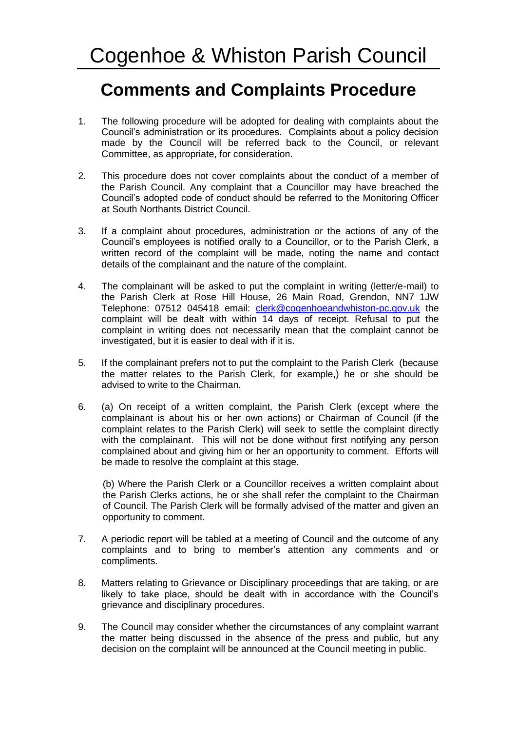## **Comments and Complaints Procedure**

- 1. The following procedure will be adopted for dealing with complaints about the Council's administration or its procedures. Complaints about a policy decision made by the Council will be referred back to the Council, or relevant Committee, as appropriate, for consideration.
- 2. This procedure does not cover complaints about the conduct of a member of the Parish Council. Any complaint that a Councillor may have breached the Council's adopted code of conduct should be referred to the Monitoring Officer at South Northants District Council.
- 3. If a complaint about procedures, administration or the actions of any of the Council's employees is notified orally to a Councillor, or to the Parish Clerk, a written record of the complaint will be made, noting the name and contact details of the complainant and the nature of the complaint.
- 4. The complainant will be asked to put the complaint in writing (letter/e-mail) to the Parish Clerk at Rose Hill House, 26 Main Road, Grendon, NN7 1JW Telephone: 07512 045418 email: *[clerk@cogenhoeandwhiston-pc.gov.uk](mailto:clerk.cogenhoeandwhistonpc@gmail.com)* the complaint will be dealt with within 14 days of receipt. Refusal to put the complaint in writing does not necessarily mean that the complaint cannot be investigated, but it is easier to deal with if it is.
- 5. If the complainant prefers not to put the complaint to the Parish Clerk (because the matter relates to the Parish Clerk, for example,) he or she should be advised to write to the Chairman.
- 6. (a) On receipt of a written complaint, the Parish Clerk (except where the complainant is about his or her own actions) or Chairman of Council (if the complaint relates to the Parish Clerk) will seek to settle the complaint directly with the complainant. This will not be done without first notifying any person complained about and giving him or her an opportunity to comment. Efforts will be made to resolve the complaint at this stage.

(b) Where the Parish Clerk or a Councillor receives a written complaint about the Parish Clerks actions, he or she shall refer the complaint to the Chairman of Council. The Parish Clerk will be formally advised of the matter and given an opportunity to comment.

- 7. A periodic report will be tabled at a meeting of Council and the outcome of any complaints and to bring to member's attention any comments and or compliments.
- 8. Matters relating to Grievance or Disciplinary proceedings that are taking, or are likely to take place, should be dealt with in accordance with the Council's grievance and disciplinary procedures.
- 9. The Council may consider whether the circumstances of any complaint warrant the matter being discussed in the absence of the press and public, but any decision on the complaint will be announced at the Council meeting in public.